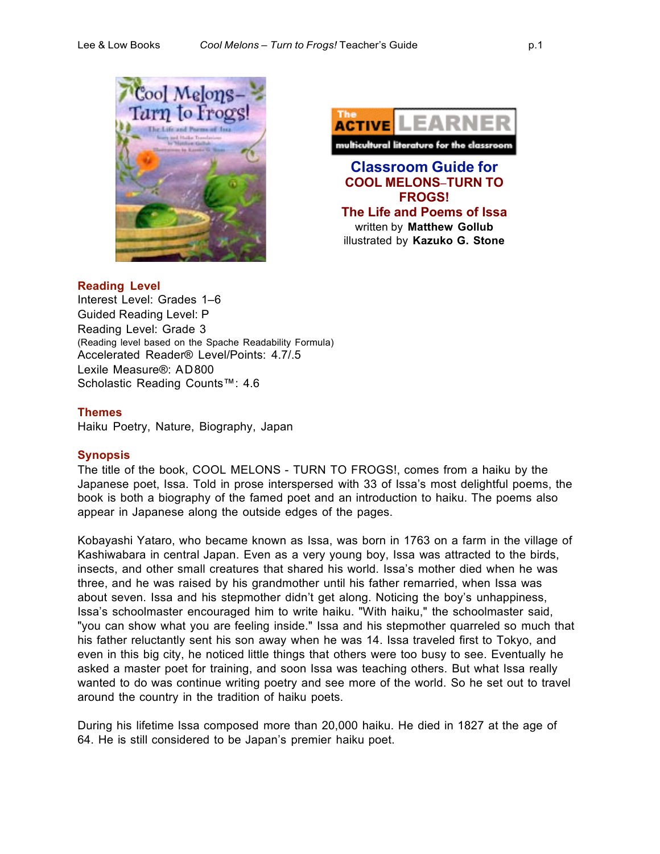



## **Reading Level**

Interest Level: Grades 1–6 Guided Reading Level: P Reading Level: Grade 3 (Reading level based on the Spache Readability Formula) Accelerated Reader® Level/Points: 4.7/.5 Lexile Measure®: AD800 Scholastic Reading Counts™: 4.6

#### **Themes**

Haiku Poetry, Nature, Biography, Japan

## **Synopsis**

The title of the book, COOL MELONS - TURN TO FROGS!, comes from a haiku by the Japanese poet, Issa. Told in prose interspersed with 33 of Issa's most delightful poems, the book is both a biography of the famed poet and an introduction to haiku. The poems also appear in Japanese along the outside edges of the pages.

Kobayashi Yataro, who became known as Issa, was born in 1763 on a farm in the village of Kashiwabara in central Japan. Even as a very young boy, Issa was attracted to the birds, insects, and other small creatures that shared his world. Issa's mother died when he was three, and he was raised by his grandmother until his father remarried, when Issa was about seven. Issa and his stepmother didn't get along. Noticing the boy's unhappiness, Issa's schoolmaster encouraged him to write haiku. "With haiku," the schoolmaster said, "you can show what you are feeling inside." Issa and his stepmother quarreled so much that his father reluctantly sent his son away when he was 14. Issa traveled first to Tokyo, and even in this big city, he noticed little things that others were too busy to see. Eventually he asked a master poet for training, and soon Issa was teaching others. But what Issa really wanted to do was continue writing poetry and see more of the world. So he set out to travel around the country in the tradition of haiku poets.

During his lifetime Issa composed more than 20,000 haiku. He died in 1827 at the age of 64. He is still considered to be Japan's premier haiku poet.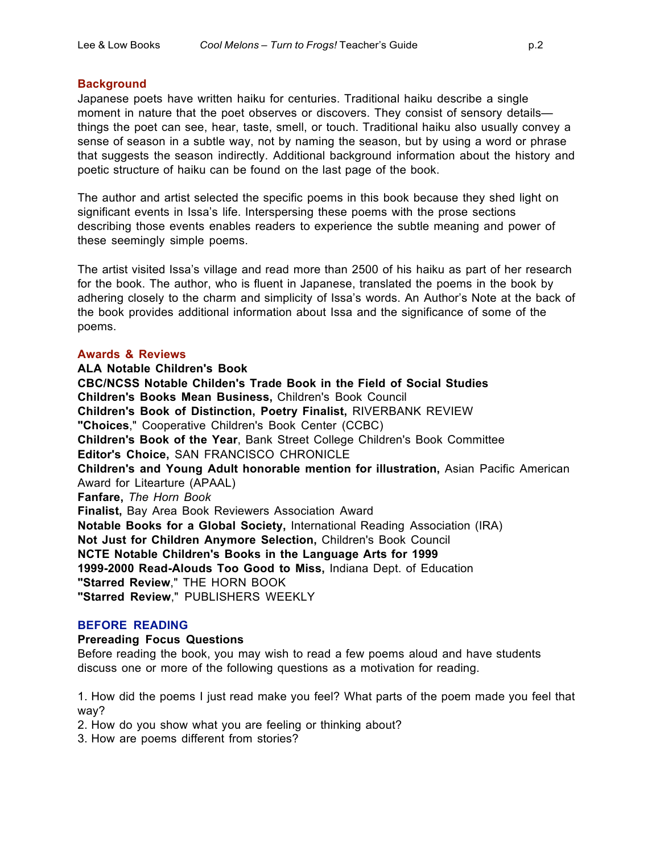# **Background**

Japanese poets have written haiku for centuries. Traditional haiku describe a single moment in nature that the poet observes or discovers. They consist of sensory details things the poet can see, hear, taste, smell, or touch. Traditional haiku also usually convey a sense of season in a subtle way, not by naming the season, but by using a word or phrase that suggests the season indirectly. Additional background information about the history and poetic structure of haiku can be found on the last page of the book.

The author and artist selected the specific poems in this book because they shed light on significant events in Issa's life. Interspersing these poems with the prose sections describing those events enables readers to experience the subtle meaning and power of these seemingly simple poems.

The artist visited Issa's village and read more than 2500 of his haiku as part of her research for the book. The author, who is fluent in Japanese, translated the poems in the book by adhering closely to the charm and simplicity of Issa's words. An Author's Note at the back of the book provides additional information about Issa and the significance of some of the poems.

# **Awards & Reviews**

**ALA Notable Children's Book CBC/NCSS Notable Childen's Trade Book in the Field of Social Studies Children's Books Mean Business,** Children's Book Council **Children's Book of Distinction, Poetry Finalist,** RIVERBANK REVIEW **"Choices**," Cooperative Children's Book Center (CCBC) **Children's Book of the Year**, Bank Street College Children's Book Committee **Editor's Choice,** SAN FRANCISCO CHRONICLE **Children's and Young Adult honorable mention for illustration,** Asian Pacific American Award for Litearture (APAAL) **Fanfare,** *The Horn Book* **Finalist,** Bay Area Book Reviewers Association Award **Notable Books for a Global Society,** International Reading Association (IRA) **Not Just for Children Anymore Selection,** Children's Book Council **NCTE Notable Children's Books in the Language Arts for 1999 1999-2000 Read-Alouds Too Good to Miss,** Indiana Dept. of Education **"Starred Review**," THE HORN BOOK **"Starred Review**," PUBLISHERS WEEKLY

# **BEFORE READING**

# **Prereading Focus Questions**

Before reading the book, you may wish to read a few poems aloud and have students discuss one or more of the following questions as a motivation for reading.

1. How did the poems I just read make you feel? What parts of the poem made you feel that way?

2. How do you show what you are feeling or thinking about?

3. How are poems different from stories?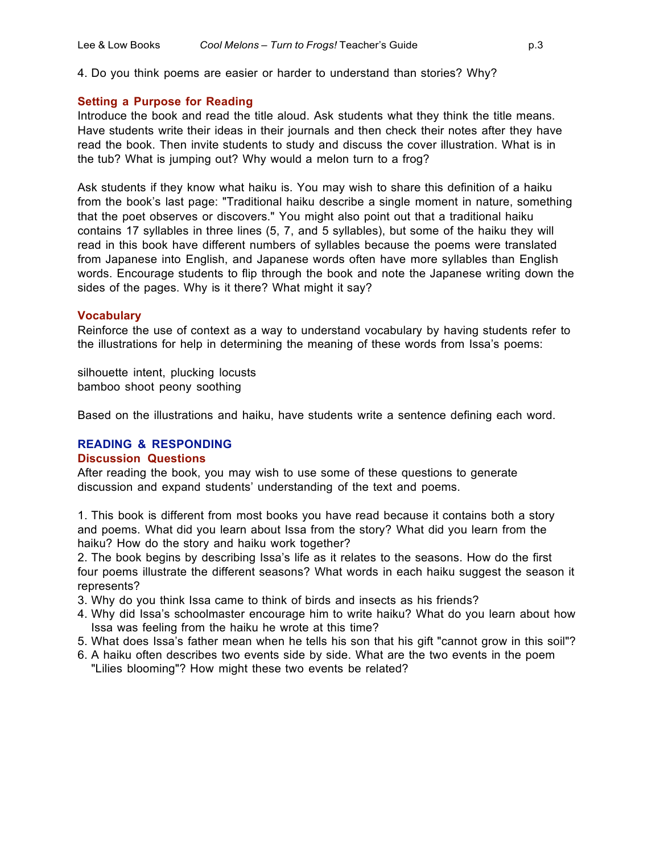## **Setting a Purpose for Reading**

Introduce the book and read the title aloud. Ask students what they think the title means. Have students write their ideas in their journals and then check their notes after they have read the book. Then invite students to study and discuss the cover illustration. What is in the tub? What is jumping out? Why would a melon turn to a frog?

Ask students if they know what haiku is. You may wish to share this definition of a haiku from the book's last page: "Traditional haiku describe a single moment in nature, something that the poet observes or discovers." You might also point out that a traditional haiku contains 17 syllables in three lines (5, 7, and 5 syllables), but some of the haiku they will read in this book have different numbers of syllables because the poems were translated from Japanese into English, and Japanese words often have more syllables than English words. Encourage students to flip through the book and note the Japanese writing down the sides of the pages. Why is it there? What might it say?

## **Vocabulary**

Reinforce the use of context as a way to understand vocabulary by having students refer to the illustrations for help in determining the meaning of these words from Issa's poems:

silhouette intent, plucking locusts bamboo shoot peony soothing

Based on the illustrations and haiku, have students write a sentence defining each word.

# **READING & RESPONDING**

# **Discussion Questions**

After reading the book, you may wish to use some of these questions to generate discussion and expand students' understanding of the text and poems.

1. This book is different from most books you have read because it contains both a story and poems. What did you learn about Issa from the story? What did you learn from the haiku? How do the story and haiku work together?

2. The book begins by describing Issa's life as it relates to the seasons. How do the first four poems illustrate the different seasons? What words in each haiku suggest the season it represents?

3. Why do you think Issa came to think of birds and insects as his friends?

- 4. Why did Issa's schoolmaster encourage him to write haiku? What do you learn about how Issa was feeling from the haiku he wrote at this time?
- 5. What does Issa's father mean when he tells his son that his gift "cannot grow in this soil"?
- 6. A haiku often describes two events side by side. What are the two events in the poem "Lilies blooming"? How might these two events be related?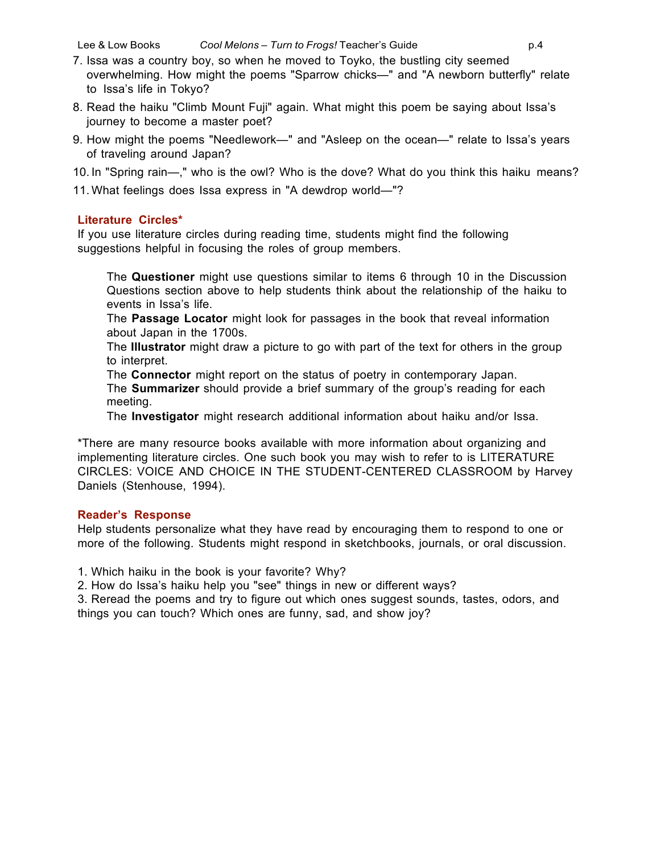- 7. Issa was a country boy, so when he moved to Toyko, the bustling city seemed overwhelming. How might the poems "Sparrow chicks—" and "A newborn butterfly" relate to Issa's life in Tokyo?
- 8. Read the haiku "Climb Mount Fuji" again. What might this poem be saying about Issa's journey to become a master poet?
- 9. How might the poems "Needlework—" and "Asleep on the ocean—" relate to Issa's years of traveling around Japan?
- 10. In "Spring rain—," who is the owl? Who is the dove? What do you think this haiku means?
- 11. What feelings does Issa express in "A dewdrop world—"?

# **Literature Circles\***

If you use literature circles during reading time, students might find the following suggestions helpful in focusing the roles of group members.

The **Questioner** might use questions similar to items 6 through 10 in the Discussion Questions section above to help students think about the relationship of the haiku to events in Issa's life.

The **Passage Locator** might look for passages in the book that reveal information about Japan in the 1700s.

The **Illustrator** might draw a picture to go with part of the text for others in the group to interpret.

The **Connector** might report on the status of poetry in contemporary Japan.

The **Summarizer** should provide a brief summary of the group's reading for each meeting.

The **Investigator** might research additional information about haiku and/or Issa.

\*There are many resource books available with more information about organizing and implementing literature circles. One such book you may wish to refer to is LITERATURE CIRCLES: VOICE AND CHOICE IN THE STUDENT-CENTERED CLASSROOM by Harvey Daniels (Stenhouse, 1994).

# **Reader's Response**

Help students personalize what they have read by encouraging them to respond to one or more of the following. Students might respond in sketchbooks, journals, or oral discussion.

1. Which haiku in the book is your favorite? Why?

2. How do Issa's haiku help you "see" things in new or different ways?

3. Reread the poems and try to figure out which ones suggest sounds, tastes, odors, and things you can touch? Which ones are funny, sad, and show joy?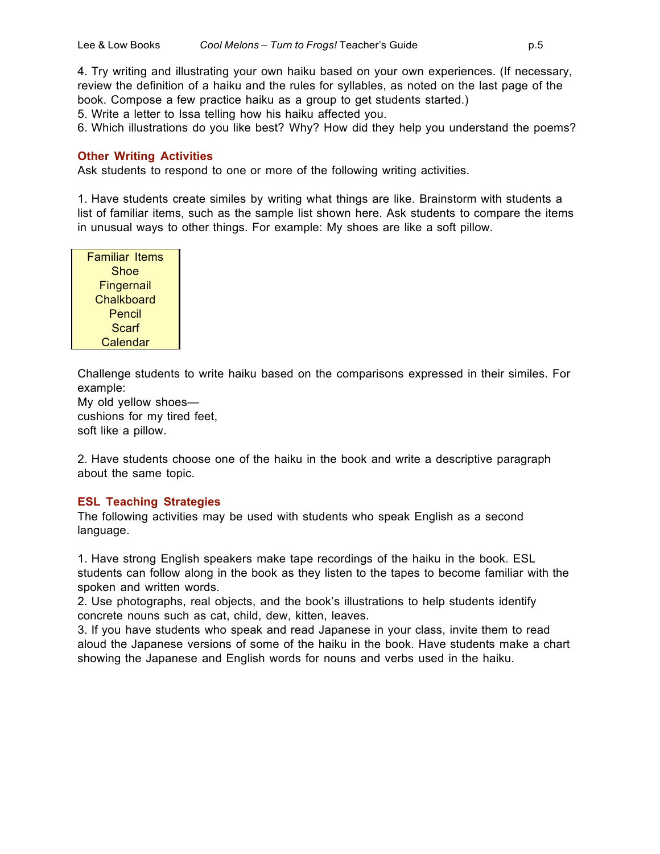4. Try writing and illustrating your own haiku based on your own experiences. (If necessary, review the definition of a haiku and the rules for syllables, as noted on the last page of the book. Compose a few practice haiku as a group to get students started.)

5. Write a letter to Issa telling how his haiku affected you.

6. Which illustrations do you like best? Why? How did they help you understand the poems?

## **Other Writing Activities**

Ask students to respond to one or more of the following writing activities.

1. Have students create similes by writing what things are like. Brainstorm with students a list of familiar items, such as the sample list shown here. Ask students to compare the items in unusual ways to other things. For example: My shoes are like a soft pillow.

| Familiar Items    |
|-------------------|
| Shoe              |
| <b>Fingernail</b> |
| Chalkboard        |
| Pencil            |
| Scarf             |
| Calendar          |

Challenge students to write haiku based on the comparisons expressed in their similes. For example:

My old yellow shoes cushions for my tired feet, soft like a pillow.

2. Have students choose one of the haiku in the book and write a descriptive paragraph about the same topic.

## **ESL Teaching Strategies**

The following activities may be used with students who speak English as a second language.

1. Have strong English speakers make tape recordings of the haiku in the book. ESL students can follow along in the book as they listen to the tapes to become familiar with the spoken and written words.

2. Use photographs, real objects, and the book's illustrations to help students identify concrete nouns such as cat, child, dew, kitten, leaves.

3. If you have students who speak and read Japanese in your class, invite them to read aloud the Japanese versions of some of the haiku in the book. Have students make a chart showing the Japanese and English words for nouns and verbs used in the haiku.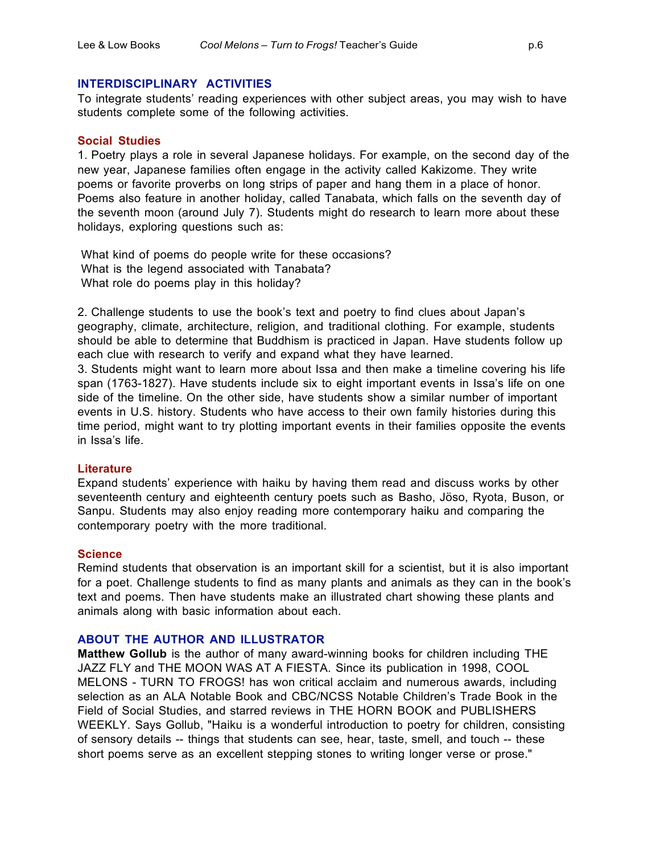## **INTERDISCIPLINARY ACTIVITIES**

To integrate students' reading experiences with other subject areas, you may wish to have students complete some of the following activities.

#### **Social Studies**

1. Poetry plays a role in several Japanese holidays. For example, on the second day of the new year, Japanese families often engage in the activity called Kakizome. They write poems or favorite proverbs on long strips of paper and hang them in a place of honor. Poems also feature in another holiday, called Tanabata, which falls on the seventh day of the seventh moon (around July 7). Students might do research to learn more about these holidays, exploring questions such as:

What kind of poems do people write for these occasions? What is the legend associated with Tanabata? What role do poems play in this holiday?

2. Challenge students to use the book's text and poetry to find clues about Japan's geography, climate, architecture, religion, and traditional clothing. For example, students should be able to determine that Buddhism is practiced in Japan. Have students follow up each clue with research to verify and expand what they have learned.

3. Students might want to learn more about Issa and then make a timeline covering his life span (1763-1827). Have students include six to eight important events in Issa's life on one side of the timeline. On the other side, have students show a similar number of important events in U.S. history. Students who have access to their own family histories during this time period, might want to try plotting important events in their families opposite the events in Issa's life.

## **Literature**

Expand students' experience with haiku by having them read and discuss works by other seventeenth century and eighteenth century poets such as Basho, Jöso, Ryota, Buson, or Sanpu. Students may also enjoy reading more contemporary haiku and comparing the contemporary poetry with the more traditional.

## **Science**

Remind students that observation is an important skill for a scientist, but it is also important for a poet. Challenge students to find as many plants and animals as they can in the book's text and poems. Then have students make an illustrated chart showing these plants and animals along with basic information about each.

## **ABOUT THE AUTHOR AND ILLUSTRATOR**

**Matthew Gollub** is the author of many award-winning books for children including THE JAZZ FLY and THE MOON WAS AT A FIESTA. Since its publication in 1998, COOL MELONS - TURN TO FROGS! has won critical acclaim and numerous awards, including selection as an ALA Notable Book and CBC/NCSS Notable Children's Trade Book in the Field of Social Studies, and starred reviews in THE HORN BOOK and PUBLISHERS WEEKLY. Says Gollub, "Haiku is a wonderful introduction to poetry for children, consisting of sensory details -- things that students can see, hear, taste, smell, and touch -- these short poems serve as an excellent stepping stones to writing longer verse or prose."